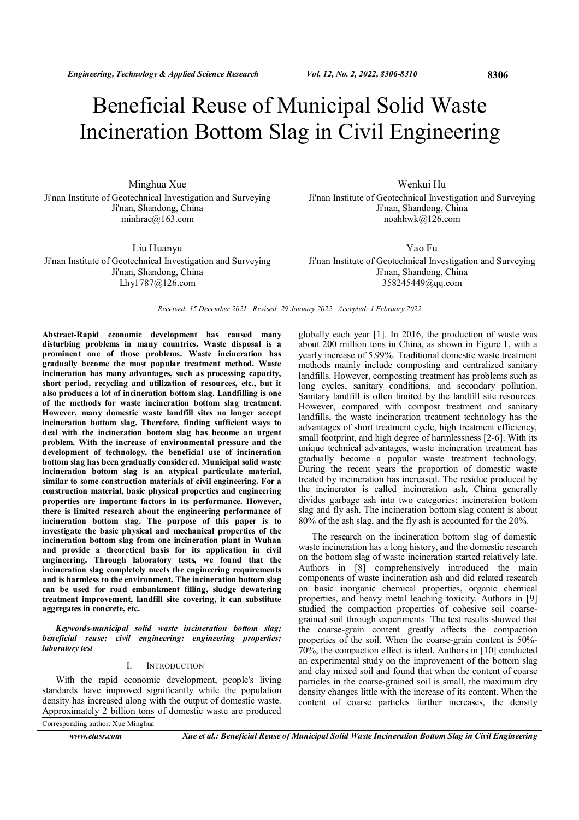# Beneficial Reuse of Municipal Solid Waste Incineration Bottom Slag in Civil Engineering

Minghua Xue Ji'nan Institute of Geotechnical Investigation and Surveying Ji'nan, Shandong, China minhrac@163.com

Liu Huanyu Ji'nan Institute of Geotechnical Investigation and Surveying Ji'nan, Shandong, China Lhy1787@126.com

Wenkui Hu Ji'nan Institute of Geotechnical Investigation and Surveying Ji'nan, Shandong, China noahhwk@126.com

Yao Fu Ji'nan Institute of Geotechnical Investigation and Surveying Ji'nan, Shandong, China 358245449@qq.com

Received: 15 December 2021 | Revised: 29 January 2022 | Accepted: 1 February 2022

Abstract-Rapid economic development has caused many disturbing problems in many countries. Waste disposal is a prominent one of those problems. Waste incineration has gradually become the most popular treatment method. Waste incineration has many advantages, such as processing capacity, short period, recycling and utilization of resources, etc., but it also produces a lot of incineration bottom slag. Landfilling is one of the methods for waste incineration bottom slag treatment. However, many domestic waste landfill sites no longer accept incineration bottom slag. Therefore, finding sufficient ways to deal with the incineration bottom slag has become an urgent problem. With the increase of environmental pressure and the development of technology, the beneficial use of incineration bottom slag has been gradually considered. Municipal solid waste incineration bottom slag is an atypical particulate material, similar to some construction materials of civil engineering. For a construction material, basic physical properties and engineering properties are important factors in its performance. However, there is limited research about the engineering performance of incineration bottom slag. The purpose of this paper is to investigate the basic physical and mechanical properties of the incineration bottom slag from one incineration plant in Wuhan and provide a theoretical basis for its application in civil engineering. Through laboratory tests, we found that the incineration slag completely meets the engineering requirements and is harmless to the environment. The incineration bottom slag can be used for road embankment filling, sludge dewatering treatment improvement, landfill site covering, it can substitute aggregates in concrete, etc.

Keywords-municipal solid waste incineration bottom slag; beneficial reuse; civil engineering; engineering properties; laboratory test

## I. INTRODUCTION

With the rapid economic development, people's living standards have improved significantly while the population density has increased along with the output of domestic waste. Approximately 2 billion tons of domestic waste are produced Corresponding author: Xue Minghua

www.etasr.com Xue et al.: Beneficial Reuse of Municipal Solid Waste Incineration Bottom Slag in Civil Engineering

globally each year [1]. In 2016, the production of waste was about 200 million tons in China, as shown in Figure 1, with a yearly increase of 5.99%. Traditional domestic waste treatment methods mainly include composting and centralized sanitary landfills. However, composting treatment has problems such as long cycles, sanitary conditions, and secondary pollution. Sanitary landfill is often limited by the landfill site resources. However, compared with compost treatment and sanitary landfills, the waste incineration treatment technology has the advantages of short treatment cycle, high treatment efficiency, small footprint, and high degree of harmlessness [2-6]. With its unique technical advantages, waste incineration treatment has gradually become a popular waste treatment technology. During the recent years the proportion of domestic waste treated by incineration has increased. The residue produced by the incinerator is called incineration ash. China generally divides garbage ash into two categories: incineration bottom slag and fly ash. The incineration bottom slag content is about 80% of the ash slag, and the fly ash is accounted for the 20%.

The research on the incineration bottom slag of domestic waste incineration has a long history, and the domestic research on the bottom slag of waste incineration started relatively late. Authors in [8] comprehensively introduced the main components of waste incineration ash and did related research on basic inorganic chemical properties, organic chemical properties, and heavy metal leaching toxicity. Authors in [9] studied the compaction properties of cohesive soil coarsegrained soil through experiments. The test results showed that the coarse-grain content greatly affects the compaction properties of the soil. When the coarse-grain content is 50%- 70%, the compaction effect is ideal. Authors in [10] conducted an experimental study on the improvement of the bottom slag and clay mixed soil and found that when the content of coarse particles in the coarse-grained soil is small, the maximum dry density changes little with the increase of its content. When the content of coarse particles further increases, the density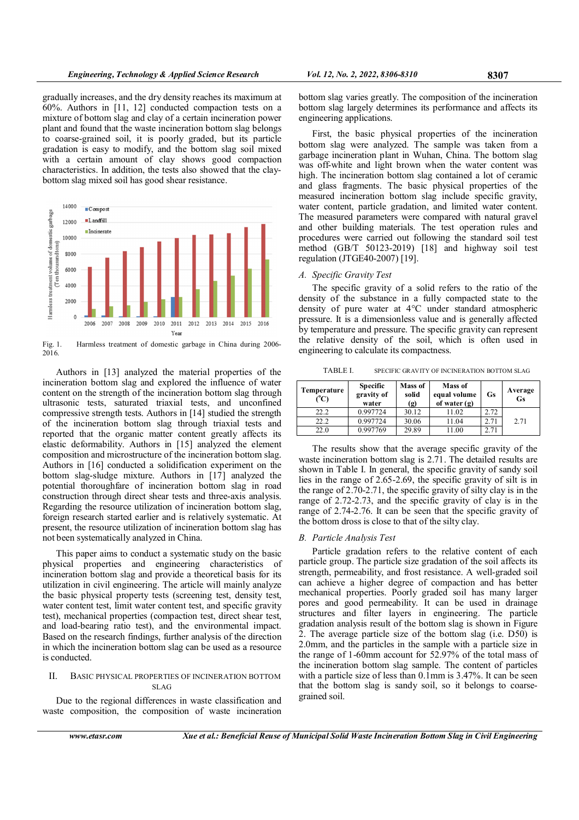gradually increases, and the dry density reaches its maximum at 60%. Authors in [11, 12] conducted compaction tests on a mixture of bottom slag and clay of a certain incineration power plant and found that the waste incineration bottom slag belongs to coarse-grained soil, it is poorly graded, but its particle gradation is easy to modify, and the bottom slag soil mixed with a certain amount of clay shows good compaction characteristics. In addition, the tests also showed that the claybottom slag mixed soil has good shear resistance.



Fig. 1. Harmless treatment of domestic garbage in China during 2006- 2016.

Authors in [13] analyzed the material properties of the incineration bottom slag and explored the influence of water content on the strength of the incineration bottom slag through ultrasonic tests, saturated triaxial tests, and unconfined compressive strength tests. Authors in [14] studied the strength of the incineration bottom slag through triaxial tests and reported that the organic matter content greatly affects its elastic deformability. Authors in [15] analyzed the element composition and microstructure of the incineration bottom slag. Authors in [16] conducted a solidification experiment on the bottom slag-sludge mixture. Authors in [17] analyzed the potential thoroughfare of incineration bottom slag in road construction through direct shear tests and three-axis analysis. Regarding the resource utilization of incineration bottom slag, foreign research started earlier and is relatively systematic. At present, the resource utilization of incineration bottom slag has not been systematically analyzed in China.

This paper aims to conduct a systematic study on the basic physical properties and engineering characteristics of incineration bottom slag and provide a theoretical basis for its utilization in civil engineering. The article will mainly analyze the basic physical property tests (screening test, density test, water content test, limit water content test, and specific gravity test), mechanical properties (compaction test, direct shear test, and load-bearing ratio test), and the environmental impact. Based on the research findings, further analysis of the direction in which the incineration bottom slag can be used as a resource is conducted.

## II. BASIC PHYSICAL PROPERTIES OF INCINERATION BOTTOM SLAG

Due to the regional differences in waste classification and waste composition, the composition of waste incineration bottom slag varies greatly. The composition of the incineration bottom slag largely determines its performance and affects its engineering applications.

First, the basic physical properties of the incineration bottom slag were analyzed. The sample was taken from a garbage incineration plant in Wuhan, China. The bottom slag was off-white and light brown when the water content was high. The incineration bottom slag contained a lot of ceramic and glass fragments. The basic physical properties of the measured incineration bottom slag include specific gravity, water content, particle gradation, and limited water content. The measured parameters were compared with natural gravel and other building materials. The test operation rules and procedures were carried out following the standard soil test method (GB/T 50123-2019) [18] and highway soil test regulation (JTGE40-2007) [19].

## A. Specific Gravity Test

The specific gravity of a solid refers to the ratio of the density of the substance in a fully compacted state to the density of pure water at 4°C under standard atmospheric pressure. It is a dimensionless value and is generally affected by temperature and pressure. The specific gravity can represent the relative density of the soil, which is often used in engineering to calculate its compactness.

TABLE I. SPECIFIC GRAVITY OF INCINERATION BOTTOM SLAG

| Temperature<br>(°C) | <b>Specific</b><br>gravity of<br>water | Mass of<br>solid<br>$\left( \mathbf{g} \right)$ | Mass of<br>equal volume<br>of water $(g)$ | <b>Gs</b> | Average<br><b>Gs</b> |
|---------------------|----------------------------------------|-------------------------------------------------|-------------------------------------------|-----------|----------------------|
| 22.2                | 0.997724                               | 30.12                                           | 11.02                                     | 2.72      |                      |
| 22.2                | 0.997724                               | 30.06                                           | 11.04                                     | 2.71      | 2.71                 |
| 22.0                | 0.997769                               | 29.89                                           | 1.00                                      | 2.71      |                      |

The results show that the average specific gravity of the waste incineration bottom slag is 2.71. The detailed results are shown in Table I. In general, the specific gravity of sandy soil lies in the range of 2.65-2.69, the specific gravity of silt is in the range of 2.70-2.71, the specific gravity of silty clay is in the range of 2.72-2.73, and the specific gravity of clay is in the range of 2.74-2.76. It can be seen that the specific gravity of the bottom dross is close to that of the silty clay.

## B. Particle Analysis Test

Particle gradation refers to the relative content of each particle group. The particle size gradation of the soil affects its strength, permeability, and frost resistance. A well-graded soil can achieve a higher degree of compaction and has better mechanical properties. Poorly graded soil has many larger pores and good permeability. It can be used in drainage structures and filter layers in engineering. The particle gradation analysis result of the bottom slag is shown in Figure 2. The average particle size of the bottom slag (i.e. D50) is 2.0mm, and the particles in the sample with a particle size in the range of 1-60mm account for 52.97% of the total mass of the incineration bottom slag sample. The content of particles with a particle size of less than 0.1mm is 3.47%. It can be seen that the bottom slag is sandy soil, so it belongs to coarsegrained soil.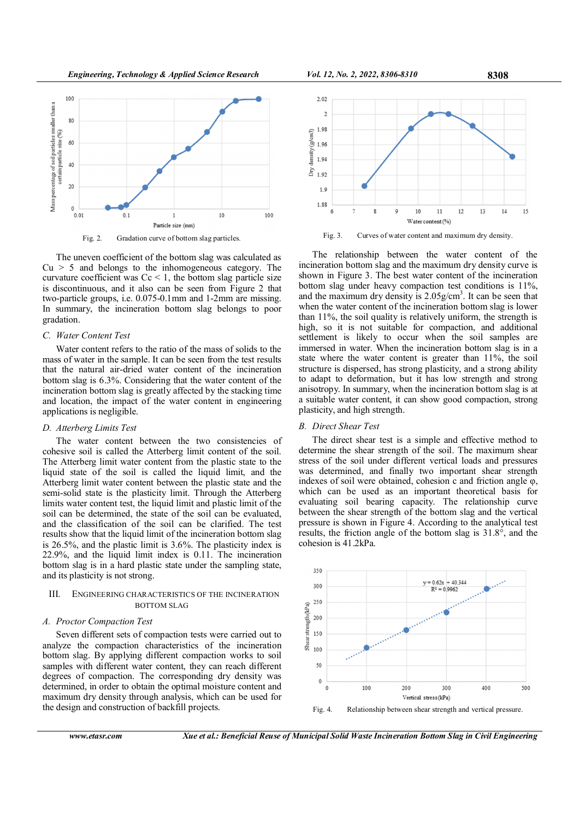

The uneven coefficient of the bottom slag was calculated as  $Cu > 5$  and belongs to the inhomogeneous category. The curvature coefficient was  $C_c < 1$ , the bottom slag particle size is discontinuous, and it also can be seen from Figure 2 that two-particle groups, i.e. 0.075-0.1mm and 1-2mm are missing. In summary, the incineration bottom slag belongs to poor gradation.

#### C. Water Content Test

Water content refers to the ratio of the mass of solids to the mass of water in the sample. It can be seen from the test results that the natural air-dried water content of the incineration bottom slag is 6.3%. Considering that the water content of the incineration bottom slag is greatly affected by the stacking time and location, the impact of the water content in engineering applications is negligible.

#### D. Atterberg Limits Test

The water content between the two consistencies of cohesive soil is called the Atterberg limit content of the soil. The Atterberg limit water content from the plastic state to the liquid state of the soil is called the liquid limit, and the Atterberg limit water content between the plastic state and the semi-solid state is the plasticity limit. Through the Atterberg limits water content test, the liquid limit and plastic limit of the soil can be determined, the state of the soil can be evaluated, and the classification of the soil can be clarified. The test results show that the liquid limit of the incineration bottom slag is 26.5%, and the plastic limit is 3.6%. The plasticity index is 22.9%, and the liquid limit index is 0.11. The incineration bottom slag is in a hard plastic state under the sampling state, and its plasticity is not strong.

# III. ENGINEERING CHARACTERISTICS OF THE INCINERATION BOTTOM SLAG

#### A. Proctor Compaction Test

Seven different sets of compaction tests were carried out to analyze the compaction characteristics of the incineration bottom slag. By applying different compaction works to soil samples with different water content, they can reach different degrees of compaction. The corresponding dry density was determined, in order to obtain the optimal moisture content and maximum dry density through analysis, which can be used for the design and construction of backfill projects.





 $10$ 

 $12$ 

 $13$ 

14

15

11

Water content (%)

The relationship between the water content of the incineration bottom slag and the maximum dry density curve is shown in Figure 3. The best water content of the incineration bottom slag under heavy compaction test conditions is 11%, and the maximum dry density is  $2.05$  g/cm<sup>3</sup>. It can be seen that when the water content of the incineration bottom slag is lower than 11%, the soil quality is relatively uniform, the strength is high, so it is not suitable for compaction, and additional settlement is likely to occur when the soil samples are immersed in water. When the incineration bottom slag is in a state where the water content is greater than 11%, the soil structure is dispersed, has strong plasticity, and a strong ability to adapt to deformation, but it has low strength and strong anisotropy. In summary, when the incineration bottom slag is at a suitable water content, it can show good compaction, strong plasticity, and high strength.

#### B. Direct Shear Test

 $\overleftrightarrow{\Xi}$  1.92

1.9 1.88

The direct shear test is a simple and effective method to determine the shear strength of the soil. The maximum shear stress of the soil under different vertical loads and pressures was determined, and finally two important shear strength indexes of soil were obtained, cohesion c and friction angle φ, which can be used as an important theoretical basis for evaluating soil bearing capacity. The relationship curve between the shear strength of the bottom slag and the vertical pressure is shown in Figure 4. According to the analytical test results, the friction angle of the bottom slag is 31.8°, and the cohesion is 41.2kPa.

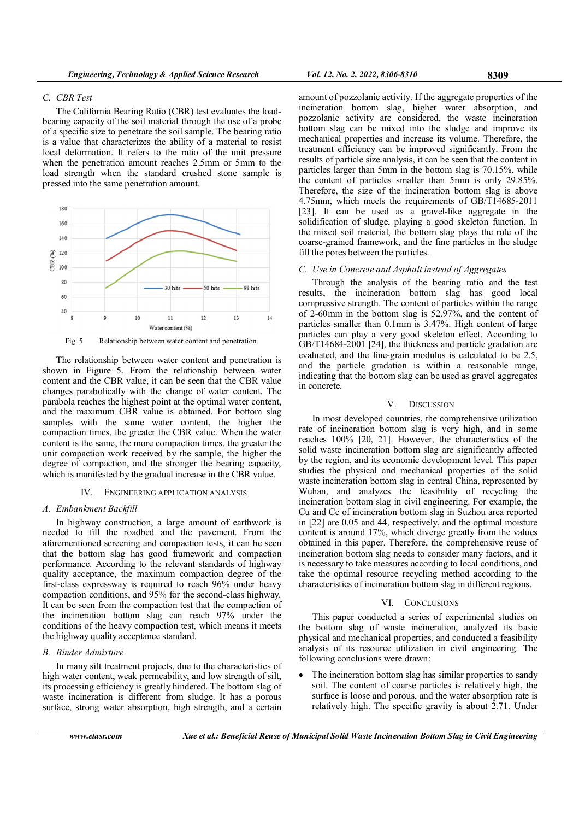#### C. CBR Test

The California Bearing Ratio (CBR) test evaluates the loadbearing capacity of the soil material through the use of a probe of a specific size to penetrate the soil sample. The bearing ratio is a value that characterizes the ability of a material to resist local deformation. It refers to the ratio of the unit pressure when the penetration amount reaches 2.5mm or 5mm to the load strength when the standard crushed stone sample is pressed into the same penetration amount.



Fig. 5. Relationship between water content and penetration.

The relationship between water content and penetration is shown in Figure 5. From the relationship between water content and the CBR value, it can be seen that the CBR value changes parabolically with the change of water content. The parabola reaches the highest point at the optimal water content, and the maximum CBR value is obtained. For bottom slag samples with the same water content, the higher the compaction times, the greater the CBR value. When the water content is the same, the more compaction times, the greater the unit compaction work received by the sample, the higher the degree of compaction, and the stronger the bearing capacity, which is manifested by the gradual increase in the CBR value.

#### IV. ENGINEERING APPLICATION ANALYSIS

# A. Embankment Backfill

In highway construction, a large amount of earthwork is needed to fill the roadbed and the pavement. From the aforementioned screening and compaction tests, it can be seen that the bottom slag has good framework and compaction performance. According to the relevant standards of highway quality acceptance, the maximum compaction degree of the first-class expressway is required to reach 96% under heavy compaction conditions, and 95% for the second-class highway. It can be seen from the compaction test that the compaction of the incineration bottom slag can reach 97% under the conditions of the heavy compaction test, which means it meets the highway quality acceptance standard.

#### B. Binder Admixture

In many silt treatment projects, due to the characteristics of high water content, weak permeability, and low strength of silt, its processing efficiency is greatly hindered. The bottom slag of waste incineration is different from sludge. It has a porous surface, strong water absorption, high strength, and a certain

amount of pozzolanic activity. If the aggregate properties of the incineration bottom slag, higher water absorption, and pozzolanic activity are considered, the waste incineration bottom slag can be mixed into the sludge and improve its mechanical properties and increase its volume. Therefore, the treatment efficiency can be improved significantly. From the results of particle size analysis, it can be seen that the content in particles larger than 5mm in the bottom slag is 70.15%, while the content of particles smaller than 5mm is only 29.85%. Therefore, the size of the incineration bottom slag is above 4.75mm, which meets the requirements of GB/T14685-2011 [23]. It can be used as a gravel-like aggregate in the solidification of sludge, playing a good skeleton function. In the mixed soil material, the bottom slag plays the role of the coarse-grained framework, and the fine particles in the sludge fill the pores between the particles.

#### C. Use in Concrete and Asphalt instead of Aggregates

Through the analysis of the bearing ratio and the test results, the incineration bottom slag has good local compressive strength. The content of particles within the range of 2-60mm in the bottom slag is 52.97%, and the content of particles smaller than 0.1mm is 3.47%. High content of large particles can play a very good skeleton effect. According to GB/T14684-2001 [24], the thickness and particle gradation are evaluated, and the fine-grain modulus is calculated to be 2.5, and the particle gradation is within a reasonable range, indicating that the bottom slag can be used as gravel aggregates in concrete.

#### V. DISCUSSION

In most developed countries, the comprehensive utilization rate of incineration bottom slag is very high, and in some reaches 100% [20, 21]. However, the characteristics of the solid waste incineration bottom slag are significantly affected by the region, and its economic development level. This paper studies the physical and mechanical properties of the solid waste incineration bottom slag in central China, represented by Wuhan, and analyzes the feasibility of recycling the incineration bottom slag in civil engineering. For example, the Cu and Cc of incineration bottom slag in Suzhou area reported in [22] are 0.05 and 44, respectively, and the optimal moisture content is around 17%, which diverge greatly from the values obtained in this paper. Therefore, the comprehensive reuse of incineration bottom slag needs to consider many factors, and it is necessary to take measures according to local conditions, and take the optimal resource recycling method according to the characteristics of incineration bottom slag in different regions.

#### VI. CONCLUSIONS

This paper conducted a series of experimental studies on the bottom slag of waste incineration, analyzed its basic physical and mechanical properties, and conducted a feasibility analysis of its resource utilization in civil engineering. The following conclusions were drawn:

The incineration bottom slag has similar properties to sandy soil. The content of coarse particles is relatively high, the surface is loose and porous, and the water absorption rate is relatively high. The specific gravity is about 2.71. Under